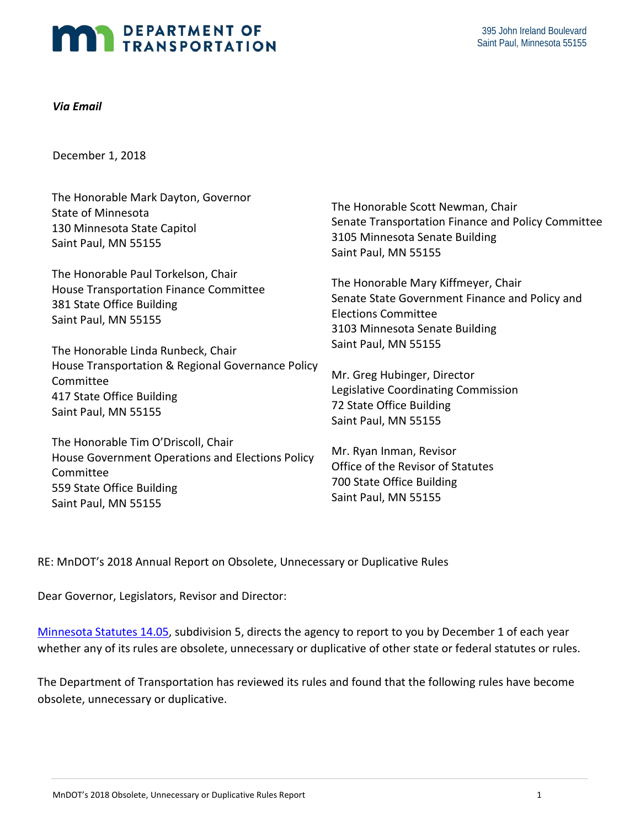# DEPARTMENT OF TRANSPORTATION

#### *Via Email*

December 1, 2018

| December 1, 2018                                                                                                                  |                                                                                           |
|-----------------------------------------------------------------------------------------------------------------------------------|-------------------------------------------------------------------------------------------|
| The Honorable Mark Dayton, Governor                                                                                               | The Honorable Scott Newman, Chair                                                         |
| <b>State of Minnesota</b>                                                                                                         | Senate Transportation Finance and Policy Committee                                        |
| 130 Minnesota State Capitol                                                                                                       | 3105 Minnesota Senate Building                                                            |
| Saint Paul, MN 55155                                                                                                              | Saint Paul, MN 55155                                                                      |
| The Honorable Paul Torkelson, Chair                                                                                               | The Honorable Mary Kiffmeyer, Chair                                                       |
| House Transportation Finance Committee                                                                                            | Senate State Government Finance and Policy and                                            |
| 381 State Office Building                                                                                                         | <b>Elections Committee</b>                                                                |
| Saint Paul, MN 55155                                                                                                              | 3103 Minnesota Senate Building                                                            |
| The Honorable Linda Runbeck, Chair                                                                                                | Saint Paul, MN 55155                                                                      |
| House Transportation & Regional Governance Policy                                                                                 | Mr. Greg Hubinger, Director                                                               |
| Committee                                                                                                                         | Legislative Coordinating Commission                                                       |
| 417 State Office Building                                                                                                         | 72 State Office Building                                                                  |
| Saint Paul, MN 55155                                                                                                              | Saint Paul, MN 55155                                                                      |
| The Honorable Tim O'Driscoll, Chair<br>House Government Operations and Elections Policy<br>Committee<br>559 State Office Building | Mr. Ryan Inman, Revisor<br>Office of the Revisor of Statutes<br>700 State Office Building |

Saint Paul, MN 55155

RE: MnDOT's 2018 Annual Report on Obsolete, Unnecessary or Duplicative Rules

Dear Governor, Legislators, Revisor and Director:

Saint Paul, MN 55155

Dear Governor, Legislators, Revisor and Director:<br><u>Minnesota Statutes 14.05</u>, subdivision 5, directs the agency to report to you by December 1 of each year whether any of its rules are obsolete, unnecessary or duplicative of other state or federal statutes or rules.

 The Department of Transportation has reviewed its rules and found that the following rules have become obsolete, unnecessary or duplicative. obsolete, unnecessary or duplicative. MnDOT's 2018 Obsolete, Unnecessary or Duplicative Rules Report 1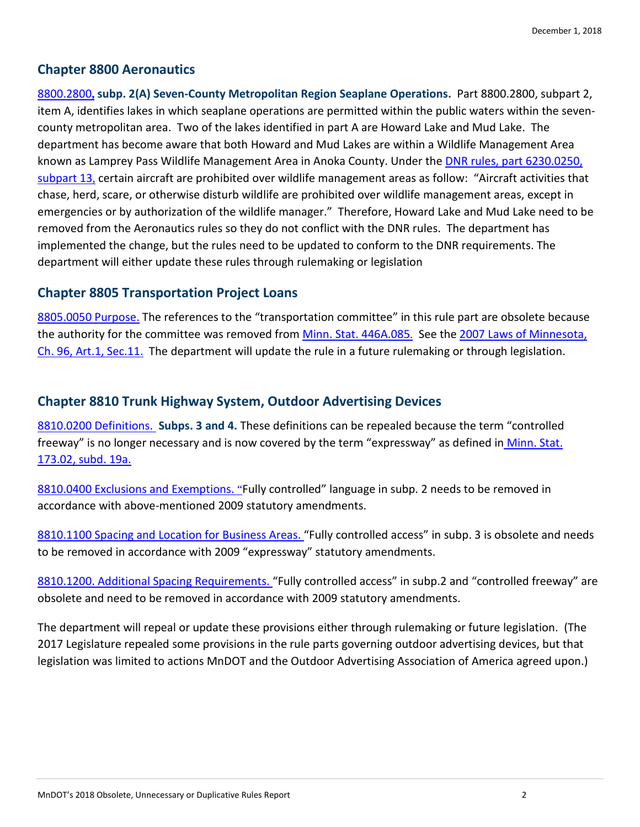### **Chapter 8800 Aeronautics**

 8800.2800**, subp. 2(A) Seven-County Metropolitan Region Seaplane Operations.** Part 8800.2800, subpart 2, item A, identifies lakes in which seaplane operations are permitted within the public waters within the seven- county metropolitan area. Two of the lakes identified in part A are Howard Lake and Mud Lake. The department has become aware that both Howard and Mud Lakes are within a Wildlife Management Area subpart 13, certain aircraft are prohibited over wildlife management areas as follow: "Aircraft activities that emergencies or by authorization of the wildlife manager." Therefore, Howard Lake and Mud Lake need to be removed from the Aeronautics rules so they do not conflict with the DNR rules. The department has department will either update these rules through rulemaking or legislation known as Lamprey Pass Wildlife Management Area in Anoka County. Under the DNR rules, part 6230.0250, chase, herd, scare, or otherwise disturb wildlife are prohibited over wildlife management areas, except in implemented the change, but the rules need to be updated to conform to the DNR requirements. The

#### **Chapter 8805 Transportation Project Loans**

8805.0050 Purpose. The references to the "transportation committee" in this rule part are obsolete because the authority for the committee was removed from <u>Minn. Stat. 446A.085.</u> See the 2007 Laws of Minnesota, Ch. 96, Art.1, Sec.11. The department will update the rule in a future rulemaking or through legislation.

### **Chapter 8810 Trunk Highway System, Outdoor Advertising Devices**

 8810.0200 Definitions. **Subps. 3 and 4.** These definitions can be repealed because the term "controlled freeway" is no longer necessary and is now covered by the term "expressway" as defined in *Minn. Stat.* 173.02, subd. 19a.

8810.0400 Exclusions and Exemptions. "Fully controlled" language in subp. 2 needs to be removed in accordance with above-mentioned 2009 statutory amendments.

8810.1100 Spacing and Location for Business Areas. "Fully controlled access" in subp. 3 is obsolete and needs to be removed in accordance with 2009 "expressway" statutory amendments.

8810.1200. Additional Spacing Requirements. "Fully controlled access" in subp.2 and "controlled freeway" are obsolete and need to be removed in accordance with 2009 statutory amendments.

 The department will repeal or update these provisions either through rulemaking or future legislation. (The 2017 Legislature repealed some provisions in the rule parts governing outdoor advertising devices, but that legislation was limited to actions MnDOT and the Outdoor Advertising Association of America agreed upon.)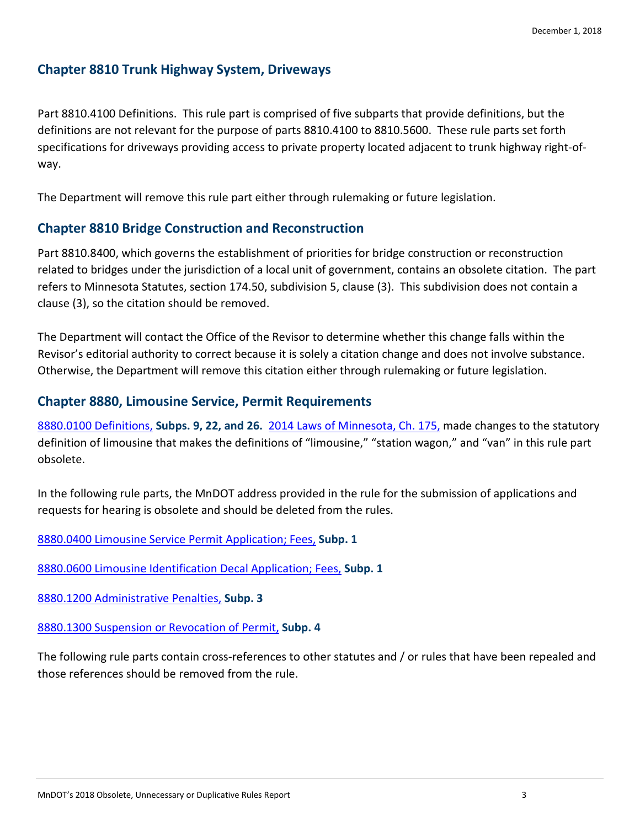## **Chapter 8810 Trunk Highway System, Driveways**

 Part 8810.4100 Definitions. This rule part is comprised of five subparts that provide definitions, but the definitions are not relevant for the purpose of parts 8810.4100 to 8810.5600. These rule parts set forth specifications for driveways providing access to private property located adjacent to trunk highway right-ofway.

The Department will remove this rule part either through rulemaking or future legislation.

### **Chapter 8810 Bridge Construction and Reconstruction**

 Part 8810.8400, which governs the establishment of priorities for bridge construction or reconstruction related to bridges under the jurisdiction of a local unit of government, contains an obsolete citation. The part clause (3), so the citation should be removed. refers to Minnesota Statutes, section 174.50, subdivision 5, clause (3). This subdivision does not contain a

Revisor's editorial authority to correct because it is solely a citation change and does not involve substance.<br>Otherwise, the Department will remove this citation either through rulemaking or future legislation. Otherwise, the Department will remove this citation either through rulemaking or future legislation. The Department will contact the Office of the Revisor to determine whether this change falls within the

### **Chapter 8880, Limousine Service, Permit Requirements**

 8880.0100 Definitions, **Subps. 9, 22, and 26.** 2014 Laws of Minnesota, Ch. 175, made changes to the statutory definition of limousine that makes the definitions of "limousine," "station wagon," and "van" in this rule part obsolete.

 requests for hearing is obsolete and should be deleted from the rules. In the following rule parts, the MnDOT address provided in the rule for the submission of applications and

8880.0400 Limousine Service Permit Application; Fees, **Subp. 1** 

8880.0600 Limousine Identification Decal Application; Fees, **Subp. 1** 

8880.1200 Administrative Penalties, **Subp. 3** 

 8880.1300 Suspension or Revocation of Permit, **Subp. 4** 

 those references should be removed from the rule. The following rule parts contain cross-references to other statutes and / or rules that have been repealed and